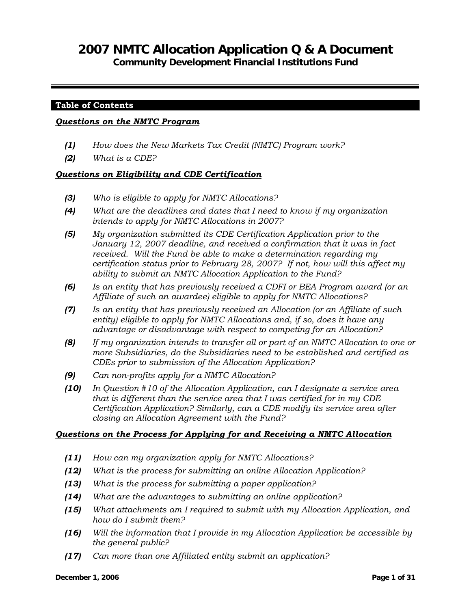# **2007 NMTC Allocation Application Q & A Document**

**Community Development Financial Institutions Fund** 

#### **Table of Contents**

#### *Questions on the NMTC Program*

- *(1) How does the New Markets Tax Credit (NMTC) Program work?*
- *(2) What is a CDE?*

### *Questions on Eligibility and CDE Certification*

- *(3) Who is eligible to apply for NMTC Allocations?*
- *(4) What are the deadlines and dates that I need to know if my organization intends to apply for NMTC Allocations in 2007?*
- *(5) My organization submitted its CDE Certification Application prior to the January 12, 2007 deadline, and received a confirmation that it was in fact received. Will the Fund be able to make a determination regarding my certification status prior to February 28, 2007? If not, how will this affect my ability to submit an NMTC Allocation Application to the Fund?*
- *(6) Is an entity that has previously received a CDFI or BEA Program award (or an Affiliate of such an awardee) eligible to apply for NMTC Allocations?*
- *(7) Is an entity that has previously received an Allocation (or an Affiliate of such entity) eligible to apply for NMTC Allocations and, if so, does it have any advantage or disadvantage with respect to competing for an Allocation?*
- *(8) If my organization intends to transfer all or part of an NMTC Allocation to one or more Subsidiaries, do the Subsidiaries need to be established and certified as CDEs prior to submission of the Allocation Application?*
- *(9) Can non-profits apply for a NMTC Allocation?*
- *(10) In Question #10 of the Allocation Application, can I designate a service area that is different than the service area that I was certified for in my CDE Certification Application? Similarly, can a CDE modify its service area after closing an Allocation Agreement with the Fund?*

#### *Questions on the Process for Applying for and Receiving a NMTC Allocation*

- *(11) How can my organization apply for NMTC Allocations?*
- *(12) What is the process for submitting an online Allocation Application?*
- *(13) What is the process for submitting a paper application?*
- *(14) What are the advantages to submitting an online application?*
- *(15) What attachments am I required to submit with my Allocation Application, and how do I submit them?*
- *(16) Will the information that I provide in my Allocation Application be accessible by the general public?*
- *(17) Can more than one Affiliated entity submit an application?*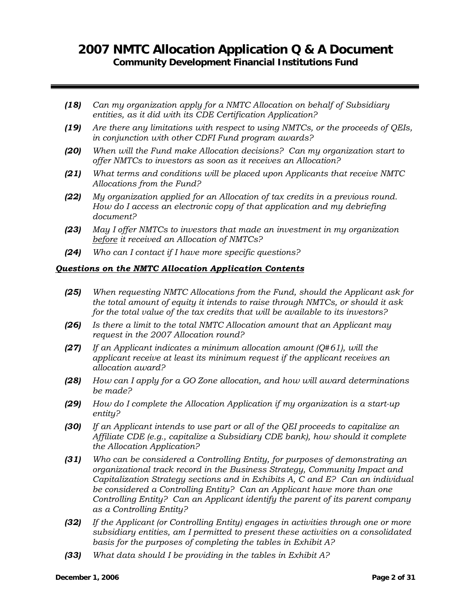- *(18) Can my organization apply for a NMTC Allocation on behalf of Subsidiary entities, as it did with its CDE Certification Application?*
- *(19) Are there any limitations with respect to using NMTCs, or the proceeds of QEIs, in conjunction with other CDFI Fund program awards?*
- *(20) When will the Fund make Allocation decisions? Can my organization start to offer NMTCs to investors as soon as it receives an Allocation?*
- *(21) What terms and conditions will be placed upon Applicants that receive NMTC Allocations from the Fund?*
- *(22) My organization applied for an Allocation of tax credits in a previous round. How do I access an electronic copy of that application and my debriefing document?*
- *(23) May I offer NMTCs to investors that made an investment in my organization before it received an Allocation of NMTCs?*
- *(24) Who can I contact if I have more specific questions?*

### *Questions on the NMTC Allocation Application Contents*

- *(25) When requesting NMTC Allocations from the Fund, should the Applicant ask for the total amount of equity it intends to raise through NMTCs, or should it ask for the total value of the tax credits that will be available to its investors?*
- *(26) Is there a limit to the total NMTC Allocation amount that an Applicant may request in the 2007 Allocation round?*
- *(27) If an Applicant indicates a minimum allocation amount (Q#61), will the applicant receive at least its minimum request if the applicant receives an allocation award?*
- *(28) How can I apply for a GO Zone allocation, and how will award determinations be made?*
- *(29) How do I complete the Allocation Application if my organization is a start-up entity?*
- *(30) If an Applicant intends to use part or all of the QEI proceeds to capitalize an Affiliate CDE (e.g., capitalize a Subsidiary CDE bank), how should it complete the Allocation Application?*
- *(31) Who can be considered a Controlling Entity, for purposes of demonstrating an organizational track record in the Business Strategy, Community Impact and Capitalization Strategy sections and in Exhibits A, C and E? Can an individual be considered a Controlling Entity? Can an Applicant have more than one Controlling Entity? Can an Applicant identify the parent of its parent company as a Controlling Entity?*
- *(32) If the Applicant (or Controlling Entity) engages in activities through one or more subsidiary entities, am I permitted to present these activities on a consolidated basis for the purposes of completing the tables in Exhibit A?*
- *(33) What data should I be providing in the tables in Exhibit A?*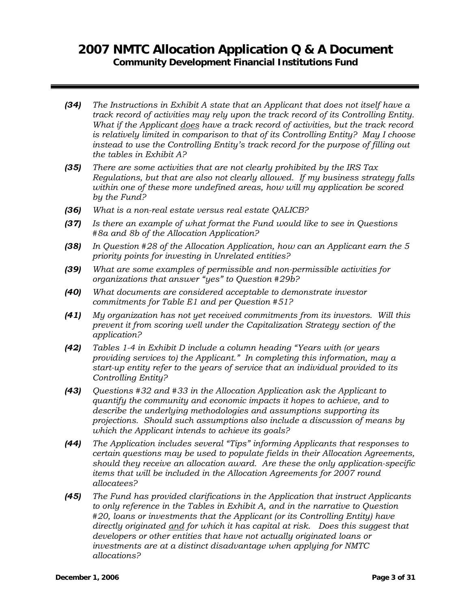- *(34) The Instructions in Exhibit A state that an Applicant that does not itself have a track record of activities may rely upon the track record of its Controlling Entity. What if the Applicant does have a track record of activities, but the track record is relatively limited in comparison to that of its Controlling Entity? May I choose instead to use the Controlling Entity's track record for the purpose of filling out the tables in Exhibit A?*
- *(35) There are some activities that are not clearly prohibited by the IRS Tax Regulations, but that are also not clearly allowed. If my business strategy falls within one of these more undefined areas, how will my application be scored by the Fund?*
- *(36) What is a non-real estate versus real estate QALICB?*
- *(37) Is there an example of what format the Fund would like to see in Questions #8a and 8b of the Allocation Application?*
- *(38) In Question #28 of the Allocation Application, how can an Applicant earn the 5 priority points for investing in Unrelated entities?*
- *(39) What are some examples of permissible and non-permissible activities for organizations that answer "yes" to Question #29b?*
- *(40) What documents are considered acceptable to demonstrate investor commitments for Table E1 and per Question #51?*
- *(41) My organization has not yet received commitments from its investors. Will this prevent it from scoring well under the Capitalization Strategy section of the application?*
- *(42) Tables 1-4 in Exhibit D include a column heading "Years with (or years providing services to) the Applicant." In completing this information, may a start-up entity refer to the years of service that an individual provided to its Controlling Entity?*
- *(43) Questions #32 and #33 in the Allocation Application ask the Applicant to quantify the community and economic impacts it hopes to achieve, and to describe the underlying methodologies and assumptions supporting its projections. Should such assumptions also include a discussion of means by which the Applicant intends to achieve its goals?*
- *(44) The Application includes several "Tips" informing Applicants that responses to certain questions may be used to populate fields in their Allocation Agreements, should they receive an allocation award. Are these the only application-specific items that will be included in the Allocation Agreements for 2007 round allocatees?*
- *(45) The Fund has provided clarifications in the Application that instruct Applicants to only reference in the Tables in Exhibit A, and in the narrative to Question #20, loans or investments that the Applicant (or its Controlling Entity) have directly originated and for which it has capital at risk. Does this suggest that developers or other entities that have not actually originated loans or investments are at a distinct disadvantage when applying for NMTC allocations?*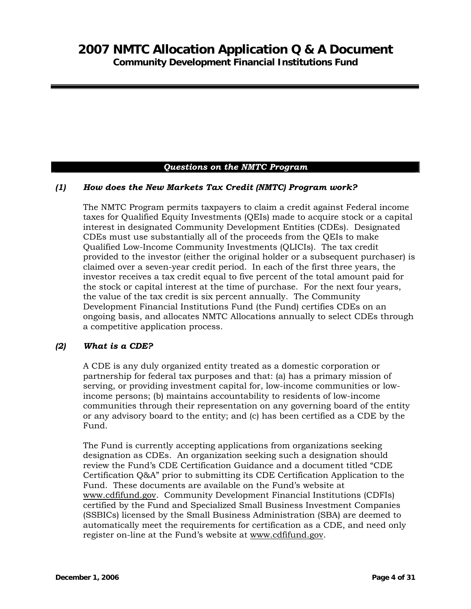### *Questions on the NMTC Program*

### *(1) How does the New Markets Tax Credit (NMTC) Program work?*

The NMTC Program permits taxpayers to claim a credit against Federal income taxes for Qualified Equity Investments (QEIs) made to acquire stock or a capital interest in designated Community Development Entities (CDEs). Designated CDEs must use substantially all of the proceeds from the QEIs to make Qualified Low-Income Community Investments (QLICIs). The tax credit provided to the investor (either the original holder or a subsequent purchaser) is claimed over a seven-year credit period. In each of the first three years, the investor receives a tax credit equal to five percent of the total amount paid for the stock or capital interest at the time of purchase. For the next four years, the value of the tax credit is six percent annually. The Community Development Financial Institutions Fund (the Fund) certifies CDEs on an ongoing basis, and allocates NMTC Allocations annually to select CDEs through a competitive application process.

#### *(2) What is a CDE?*

A CDE is any duly organized entity treated as a domestic corporation or partnership for federal tax purposes and that: (a) has a primary mission of serving, or providing investment capital for, low-income communities or lowincome persons; (b) maintains accountability to residents of low-income communities through their representation on any governing board of the entity or any advisory board to the entity; and (c) has been certified as a CDE by the Fund.

The Fund is currently accepting applications from organizations seeking designation as CDEs. An organization seeking such a designation should review the Fund's CDE Certification Guidance and a document titled "CDE Certification Q&A" prior to submitting its CDE Certification Application to the Fund. These documents are available on the Fund's website at www.cdfifund.gov. Community Development Financial Institutions (CDFIs) certified by the Fund and Specialized Small Business Investment Companies (SSBICs) licensed by the Small Business Administration (SBA) are deemed to automatically meet the requirements for certification as a CDE, and need only register on-line at the Fund's website at www.cdfifund.gov.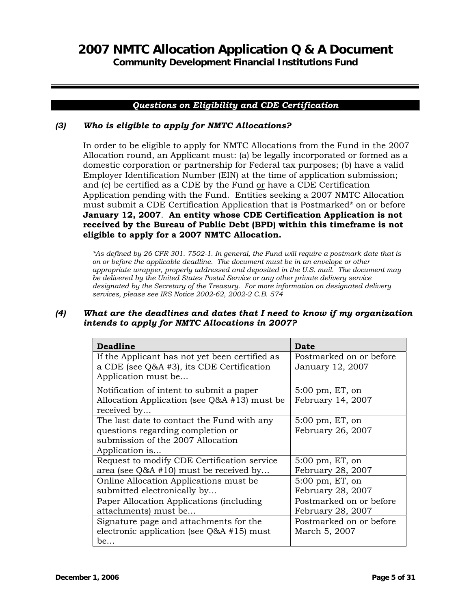**Community Development Financial Institutions Fund** 

### *Questions on Eligibility and CDE Certification*

### *(3) Who is eligible to apply for NMTC Allocations?*

In order to be eligible to apply for NMTC Allocations from the Fund in the 2007 Allocation round, an Applicant must: (a) be legally incorporated or formed as a domestic corporation or partnership for Federal tax purposes; (b) have a valid Employer Identification Number (EIN) at the time of application submission; and  $(c)$  be certified as a CDE by the Fund  $or$  have a CDE Certification</u> Application pending with the Fund. Entities seeking a 2007 NMTC Allocation must submit a CDE Certification Application that is Postmarked\* on or before **January 12, 2007**. **An entity whose CDE Certification Application is not received by the Bureau of Public Debt (BPD) within this timeframe is not eligible to apply for a 2007 NMTC Allocation.**

*\*As defined by 26 CFR 301. 7502-1. In general, the Fund will require a postmark date that is on or before the applicable deadline. The document must be in an envelope or other appropriate wrapper, properly addressed and deposited in the U.S. mail. The document may be delivered by the United States Postal Service or any other private delivery service designated by the Secretary of the Treasury. For more information on designated delivery services, please see IRS Notice 2002-62, 2002-2 C.B. 574* 

### *(4) What are the deadlines and dates that I need to know if my organization intends to apply for NMTC Allocations in 2007?*

| <b>Deadline</b>                                                                                                                        | Date                                            |
|----------------------------------------------------------------------------------------------------------------------------------------|-------------------------------------------------|
| If the Applicant has not yet been certified as<br>a CDE (see Q&A #3), its CDE Certification<br>Application must be                     | Postmarked on or before<br>January 12, 2007     |
| Notification of intent to submit a paper<br>Allocation Application (see $Q&A$ #13) must be<br>received by                              | $5:00 \text{ pm}$ , ET, on<br>February 14, 2007 |
| The last date to contact the Fund with any<br>questions regarding completion or<br>submission of the 2007 Allocation<br>Application is | $5:00 \text{ pm}$ , ET, on<br>February 26, 2007 |
| Request to modify CDE Certification service<br>area (see $Q&A$ #10) must be received by                                                | 5:00 pm, ET, on<br>February 28, 2007            |
| Online Allocation Applications must be<br>submitted electronically by                                                                  | 5:00 pm, ET, on<br>February 28, 2007            |
| Paper Allocation Applications (including)<br>attachments) must be                                                                      | Postmarked on or before<br>February 28, 2007    |
| Signature page and attachments for the<br>electronic application (see $Q&A$ #15) must<br>be                                            | Postmarked on or before<br>March 5, 2007        |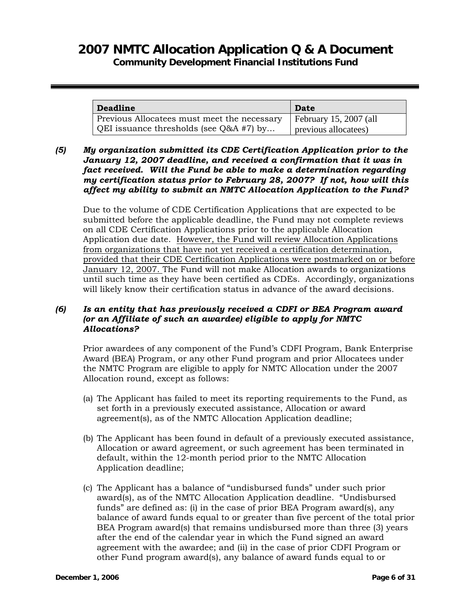# **2007 NMTC Allocation Application Q & A Document**

**Community Development Financial Institutions Fund** 

| <b>Deadline</b>                             | Date                   |
|---------------------------------------------|------------------------|
| Previous Allocatees must meet the necessary | February 15, 2007 (all |
| QEI issuance thresholds (see $Q&AA #7$ ) by | previous allocatees)   |

### *(5) My organization submitted its CDE Certification Application prior to the January 12, 2007 deadline, and received a confirmation that it was in fact received. Will the Fund be able to make a determination regarding my certification status prior to February 28, 2007? If not, how will this affect my ability to submit an NMTC Allocation Application to the Fund?*

Due to the volume of CDE Certification Applications that are expected to be submitted before the applicable deadline, the Fund may not complete reviews on all CDE Certification Applications prior to the applicable Allocation Application due date. However, the Fund will review Allocation Applications from organizations that have not yet received a certification determination, provided that their CDE Certification Applications were postmarked on or before January 12, 2007. The Fund will not make Allocation awards to organizations until such time as they have been certified as CDEs. Accordingly, organizations will likely know their certification status in advance of the award decisions.

### *(6) Is an entity that has previously received a CDFI or BEA Program award (or an Affiliate of such an awardee) eligible to apply for NMTC Allocations?*

Prior awardees of any component of the Fund's CDFI Program, Bank Enterprise Award (BEA) Program, or any other Fund program and prior Allocatees under the NMTC Program are eligible to apply for NMTC Allocation under the 2007 Allocation round, except as follows:

- (a) The Applicant has failed to meet its reporting requirements to the Fund, as set forth in a previously executed assistance, Allocation or award agreement(s), as of the NMTC Allocation Application deadline;
- (b) The Applicant has been found in default of a previously executed assistance, Allocation or award agreement, or such agreement has been terminated in default, within the 12-month period prior to the NMTC Allocation Application deadline;
- (c) The Applicant has a balance of "undisbursed funds" under such prior award(s), as of the NMTC Allocation Application deadline. "Undisbursed funds" are defined as: (i) in the case of prior BEA Program award(s), any balance of award funds equal to or greater than five percent of the total prior BEA Program award(s) that remains undisbursed more than three (3) years after the end of the calendar year in which the Fund signed an award agreement with the awardee; and (ii) in the case of prior CDFI Program or other Fund program award(s), any balance of award funds equal to or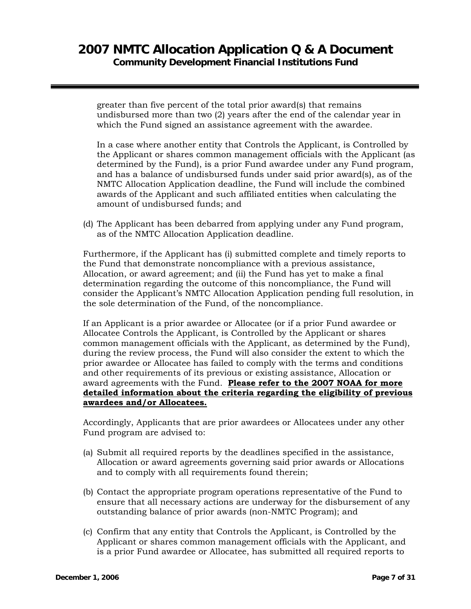greater than five percent of the total prior award(s) that remains undisbursed more than two (2) years after the end of the calendar year in which the Fund signed an assistance agreement with the awardee.

In a case where another entity that Controls the Applicant, is Controlled by the Applicant or shares common management officials with the Applicant (as determined by the Fund), is a prior Fund awardee under any Fund program, and has a balance of undisbursed funds under said prior award(s), as of the NMTC Allocation Application deadline, the Fund will include the combined awards of the Applicant and such affiliated entities when calculating the amount of undisbursed funds; and

(d) The Applicant has been debarred from applying under any Fund program, as of the NMTC Allocation Application deadline.

Furthermore, if the Applicant has (i) submitted complete and timely reports to the Fund that demonstrate noncompliance with a previous assistance, Allocation, or award agreement; and (ii) the Fund has yet to make a final determination regarding the outcome of this noncompliance, the Fund will consider the Applicant's NMTC Allocation Application pending full resolution, in the sole determination of the Fund, of the noncompliance.

If an Applicant is a prior awardee or Allocatee (or if a prior Fund awardee or Allocatee Controls the Applicant, is Controlled by the Applicant or shares common management officials with the Applicant, as determined by the Fund), during the review process, the Fund will also consider the extent to which the prior awardee or Allocatee has failed to comply with the terms and conditions and other requirements of its previous or existing assistance, Allocation or award agreements with the Fund. **Please refer to the 2007 NOAA for more detailed information about the criteria regarding the eligibility of previous awardees and/or Allocatees.**

Accordingly, Applicants that are prior awardees or Allocatees under any other Fund program are advised to:

- (a) Submit all required reports by the deadlines specified in the assistance, Allocation or award agreements governing said prior awards or Allocations and to comply with all requirements found therein;
- (b) Contact the appropriate program operations representative of the Fund to ensure that all necessary actions are underway for the disbursement of any outstanding balance of prior awards (non-NMTC Program); and
- (c) Confirm that any entity that Controls the Applicant, is Controlled by the Applicant or shares common management officials with the Applicant, and is a prior Fund awardee or Allocatee, has submitted all required reports to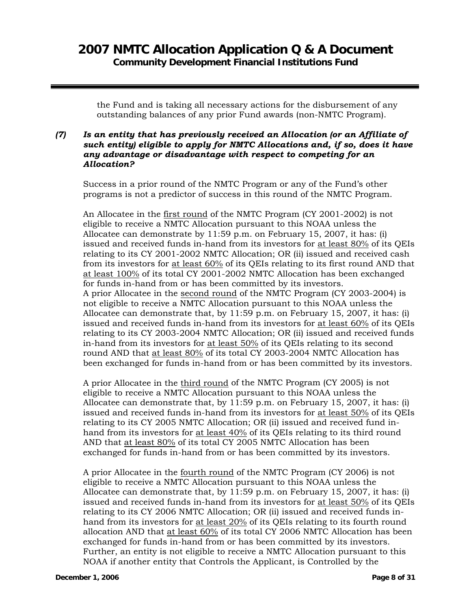the Fund and is taking all necessary actions for the disbursement of any outstanding balances of any prior Fund awards (non-NMTC Program).

### *(7) Is an entity that has previously received an Allocation (or an Affiliate of such entity) eligible to apply for NMTC Allocations and, if so, does it have any advantage or disadvantage with respect to competing for an Allocation?*

Success in a prior round of the NMTC Program or any of the Fund's other programs is not a predictor of success in this round of the NMTC Program.

An Allocatee in the first round of the NMTC Program (CY 2001-2002) is not eligible to receive a NMTC Allocation pursuant to this NOAA unless the Allocatee can demonstrate by 11:59 p.m. on February 15, 2007, it has: (i) issued and received funds in-hand from its investors for at least 80% of its QEIs relating to its CY 2001-2002 NMTC Allocation; OR (ii) issued and received cash from its investors for at least 60% of its QEIs relating to its first round AND that at least 100% of its total CY 2001-2002 NMTC Allocation has been exchanged for funds in-hand from or has been committed by its investors. A prior Allocatee in the second round of the NMTC Program (CY 2003-2004) is not eligible to receive a NMTC Allocation pursuant to this NOAA unless the Allocatee can demonstrate that, by 11:59 p.m. on February 15, 2007, it has: (i) issued and received funds in-hand from its investors for at least 60% of its QEIs relating to its CY 2003-2004 NMTC Allocation; OR (ii) issued and received funds in-hand from its investors for at least 50% of its QEIs relating to its second round AND that at least 80% of its total CY 2003-2004 NMTC Allocation has been exchanged for funds in-hand from or has been committed by its investors.

A prior Allocatee in the third round of the NMTC Program (CY 2005) is not eligible to receive a NMTC Allocation pursuant to this NOAA unless the Allocatee can demonstrate that, by 11:59 p.m. on February 15, 2007, it has: (i) issued and received funds in-hand from its investors for at least 50% of its QEIs relating to its CY 2005 NMTC Allocation; OR (ii) issued and received fund inhand from its investors for at least 40% of its QEIs relating to its third round AND that at least 80% of its total CY 2005 NMTC Allocation has been exchanged for funds in-hand from or has been committed by its investors.

A prior Allocatee in the fourth round of the NMTC Program (CY 2006) is not eligible to receive a NMTC Allocation pursuant to this NOAA unless the Allocatee can demonstrate that, by 11:59 p.m. on February 15, 2007, it has: (i) issued and received funds in-hand from its investors for at least 50% of its QEIs relating to its CY 2006 NMTC Allocation; OR (ii) issued and received funds inhand from its investors for at least 20% of its QEIs relating to its fourth round allocation AND that at least 60% of its total CY 2006 NMTC Allocation has been exchanged for funds in-hand from or has been committed by its investors. Further, an entity is not eligible to receive a NMTC Allocation pursuant to this NOAA if another entity that Controls the Applicant, is Controlled by the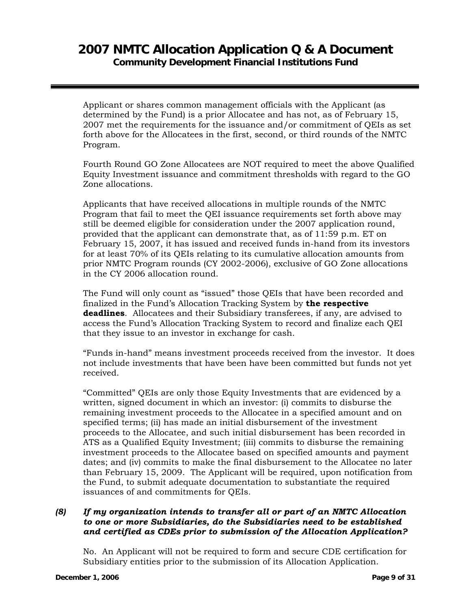Applicant or shares common management officials with the Applicant (as determined by the Fund) is a prior Allocatee and has not, as of February 15, 2007 met the requirements for the issuance and/or commitment of QEIs as set forth above for the Allocatees in the first, second, or third rounds of the NMTC Program.

Fourth Round GO Zone Allocatees are NOT required to meet the above Qualified Equity Investment issuance and commitment thresholds with regard to the GO Zone allocations.

Applicants that have received allocations in multiple rounds of the NMTC Program that fail to meet the QEI issuance requirements set forth above may still be deemed eligible for consideration under the 2007 application round, provided that the applicant can demonstrate that, as of 11:59 p.m. ET on February 15, 2007, it has issued and received funds in-hand from its investors for at least 70% of its QEIs relating to its cumulative allocation amounts from prior NMTC Program rounds (CY 2002-2006), exclusive of GO Zone allocations in the CY 2006 allocation round.

The Fund will only count as "issued" those QEIs that have been recorded and finalized in the Fund's Allocation Tracking System by **the respective deadlines**. Allocatees and their Subsidiary transferees, if any, are advised to access the Fund's Allocation Tracking System to record and finalize each QEI that they issue to an investor in exchange for cash.

"Funds in-hand" means investment proceeds received from the investor. It does not include investments that have been have been committed but funds not yet received.

"Committed" QEIs are only those Equity Investments that are evidenced by a written, signed document in which an investor: (i) commits to disburse the remaining investment proceeds to the Allocatee in a specified amount and on specified terms; (ii) has made an initial disbursement of the investment proceeds to the Allocatee, and such initial disbursement has been recorded in ATS as a Qualified Equity Investment; (iii) commits to disburse the remaining investment proceeds to the Allocatee based on specified amounts and payment dates; and (iv) commits to make the final disbursement to the Allocatee no later than February 15, 2009. The Applicant will be required, upon notification from the Fund, to submit adequate documentation to substantiate the required issuances of and commitments for QEIs.

### *(8) If my organization intends to transfer all or part of an NMTC Allocation to one or more Subsidiaries, do the Subsidiaries need to be established and certified as CDEs prior to submission of the Allocation Application?*

No. An Applicant will not be required to form and secure CDE certification for Subsidiary entities prior to the submission of its Allocation Application.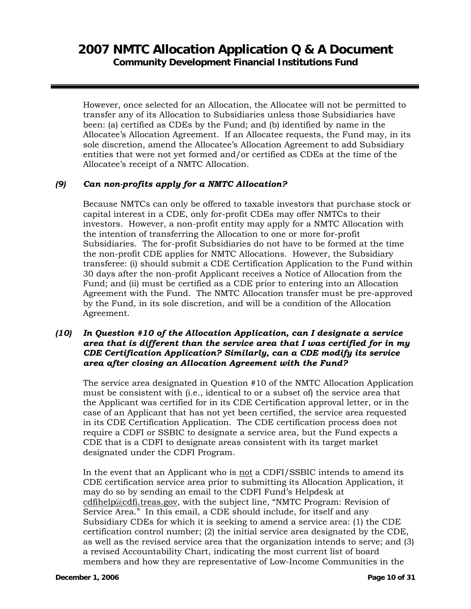However, once selected for an Allocation, the Allocatee will not be permitted to transfer any of its Allocation to Subsidiaries unless those Subsidiaries have been: (a) certified as CDEs by the Fund; and (b) identified by name in the Allocatee's Allocation Agreement. If an Allocatee requests, the Fund may, in its sole discretion, amend the Allocatee's Allocation Agreement to add Subsidiary entities that were not yet formed and/or certified as CDEs at the time of the Allocatee's receipt of a NMTC Allocation.

### *(9) Can non-profits apply for a NMTC Allocation?*

Because NMTCs can only be offered to taxable investors that purchase stock or capital interest in a CDE, only for-profit CDEs may offer NMTCs to their investors. However, a non-profit entity may apply for a NMTC Allocation with the intention of transferring the Allocation to one or more for-profit Subsidiaries. The for-profit Subsidiaries do not have to be formed at the time the non-profit CDE applies for NMTC Allocations. However, the Subsidiary transferee: (i) should submit a CDE Certification Application to the Fund within 30 days after the non-profit Applicant receives a Notice of Allocation from the Fund; and (ii) must be certified as a CDE prior to entering into an Allocation Agreement with the Fund. The NMTC Allocation transfer must be pre-approved by the Fund, in its sole discretion, and will be a condition of the Allocation Agreement.

#### *(10) In Question #10 of the Allocation Application, can I designate a service area that is different than the service area that I was certified for in my CDE Certification Application? Similarly, can a CDE modify its service area after closing an Allocation Agreement with the Fund?*

The service area designated in Question #10 of the NMTC Allocation Application must be consistent with (i.e., identical to or a subset of) the service area that the Applicant was certified for in its CDE Certification approval letter, or in the case of an Applicant that has not yet been certified, the service area requested in its CDE Certification Application. The CDE certification process does not require a CDFI or SSBIC to designate a service area, but the Fund expects a CDE that is a CDFI to designate areas consistent with its target market designated under the CDFI Program.

In the event that an Applicant who is not a CDFI/SSBIC intends to amend its CDE certification service area prior to submitting its Allocation Application, it may do so by sending an email to the CDFI Fund's Helpdesk at cdfihelp@cdfi.treas.gov, with the subject line, "NMTC Program: Revision of Service Area." In this email, a CDE should include, for itself and any Subsidiary CDEs for which it is seeking to amend a service area: (1) the CDE certification control number; (2) the initial service area designated by the CDE, as well as the revised service area that the organization intends to serve; and (3) a revised Accountability Chart, indicating the most current list of board members and how they are representative of Low-Income Communities in the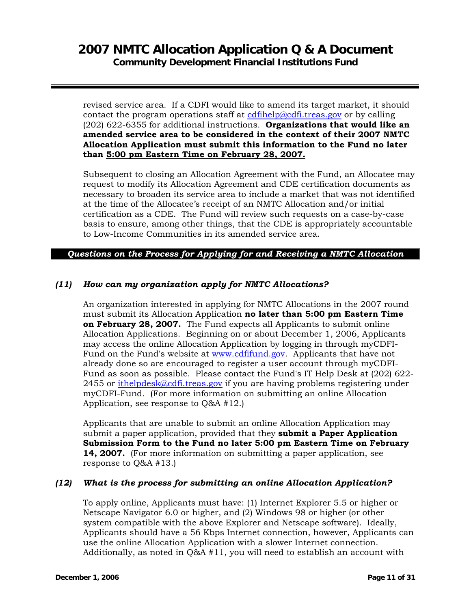revised service area. If a CDFI would like to amend its target market, it should contact the program operations staff at cdfihelp@cdfi.treas.gov or by calling (202) 622-6355 for additional instructions. **Organizations that would like an amended service area to be considered in the context of their 2007 NMTC Allocation Application must submit this information to the Fund no later than 5:00 pm Eastern Time on February 28, 2007.**

Subsequent to closing an Allocation Agreement with the Fund, an Allocatee may request to modify its Allocation Agreement and CDE certification documents as necessary to broaden its service area to include a market that was not identified at the time of the Allocatee's receipt of an NMTC Allocation and/or initial certification as a CDE. The Fund will review such requests on a case-by-case basis to ensure, among other things, that the CDE is appropriately accountable to Low-Income Communities in its amended service area.

*Questions on the Process for Applying for and Receiving a NMTC Allocation* 

### *(11) How can my organization apply for NMTC Allocations?*

An organization interested in applying for NMTC Allocations in the 2007 round must submit its Allocation Application **no later than 5:00 pm Eastern Time on February 28, 2007.** The Fund expects all Applicants to submit online Allocation Applications. Beginning on or about December 1, 2006, Applicants may access the online Allocation Application by logging in through myCDFI-Fund on the Fund's website at www.cdfifund.gov. Applicants that have not already done so are encouraged to register a user account through myCDFI-Fund as soon as possible. Please contact the Fund's IT Help Desk at (202) 622-  $2455$  or ithelpdesk@cdfi.treas.gov if you are having problems registering under myCDFI-Fund. (For more information on submitting an online Allocation Application, see response to Q&A #12.)

Applicants that are unable to submit an online Allocation Application may submit a paper application, provided that they **submit a Paper Application Submission Form to the Fund no later 5:00 pm Eastern Time on February 14, 2007.** (For more information on submitting a paper application, see response to Q&A #13.)

#### *(12) What is the process for submitting an online Allocation Application?*

To apply online, Applicants must have: (1) Internet Explorer 5.5 or higher or Netscape Navigator 6.0 or higher, and (2) Windows 98 or higher (or other system compatible with the above Explorer and Netscape software). Ideally, Applicants should have a 56 Kbps Internet connection, however, Applicants can use the online Allocation Application with a slower Internet connection. Additionally, as noted in Q&A #11, you will need to establish an account with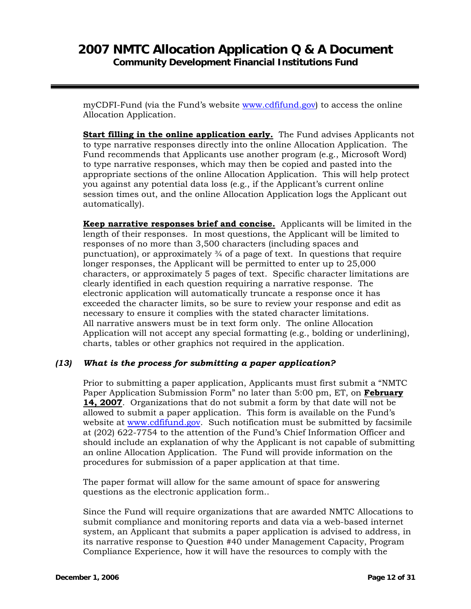myCDFI-Fund (via the Fund's website www.cdfifund.gov) to access the online Allocation Application.

**Start filling in the online application early.** The Fund advises Applicants not to type narrative responses directly into the online Allocation Application. The Fund recommends that Applicants use another program (e.g., Microsoft Word) to type narrative responses, which may then be copied and pasted into the appropriate sections of the online Allocation Application. This will help protect you against any potential data loss (e.g., if the Applicant's current online session times out, and the online Allocation Application logs the Applicant out automatically).

**Keep narrative responses brief and concise.** Applicants will be limited in the length of their responses. In most questions, the Applicant will be limited to responses of no more than 3,500 characters (including spaces and punctuation), or approximately ¾ of a page of text. In questions that require longer responses, the Applicant will be permitted to enter up to 25,000 characters, or approximately 5 pages of text. Specific character limitations are clearly identified in each question requiring a narrative response. The electronic application will automatically truncate a response once it has exceeded the character limits, so be sure to review your response and edit as necessary to ensure it complies with the stated character limitations. All narrative answers must be in text form only. The online Allocation Application will not accept any special formatting (e.g., bolding or underlining), charts, tables or other graphics not required in the application.

#### *(13) What is the process for submitting a paper application?*

Prior to submitting a paper application, Applicants must first submit a "NMTC Paper Application Submission Form" no later than 5:00 pm, ET, on **February 14, 2007**. Organizations that do not submit a form by that date will not be allowed to submit a paper application. This form is available on the Fund's website at www.cdfifund.gov. Such notification must be submitted by facsimile at (202) 622-7754 to the attention of the Fund's Chief Information Officer and should include an explanation of why the Applicant is not capable of submitting an online Allocation Application. The Fund will provide information on the procedures for submission of a paper application at that time.

The paper format will allow for the same amount of space for answering questions as the electronic application form..

Since the Fund will require organizations that are awarded NMTC Allocations to submit compliance and monitoring reports and data via a web-based internet system, an Applicant that submits a paper application is advised to address, in its narrative response to Question #40 under Management Capacity, Program Compliance Experience, how it will have the resources to comply with the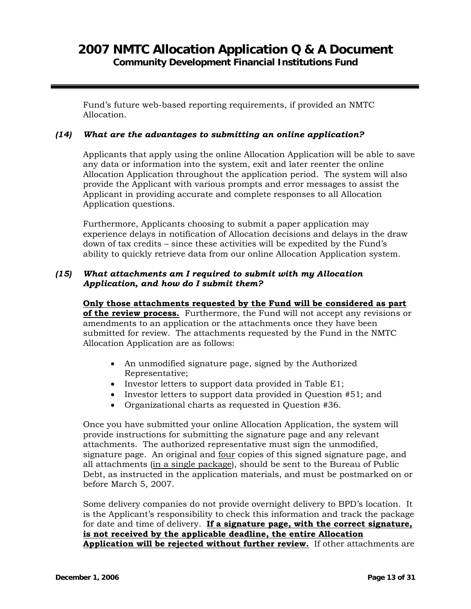Fund's future web-based reporting requirements, if provided an NMTC Allocation.

#### *(14) What are the advantages to submitting an online application?*

Applicants that apply using the online Allocation Application will be able to save any data or information into the system, exit and later reenter the online Allocation Application throughout the application period. The system will also provide the Applicant with various prompts and error messages to assist the Applicant in providing accurate and complete responses to all Allocation Application questions.

Furthermore, Applicants choosing to submit a paper application may experience delays in notification of Allocation decisions and delays in the draw down of tax credits – since these activities will be expedited by the Fund's ability to quickly retrieve data from our online Allocation Application system.

### *(15) What attachments am I required to submit with my Allocation Application, and how do I submit them?*

**Only those attachments requested by the Fund will be considered as part of the review process.** Furthermore, the Fund will not accept any revisions or amendments to an application or the attachments once they have been submitted for review. The attachments requested by the Fund in the NMTC Allocation Application are as follows:

- An unmodified signature page, signed by the Authorized Representative;
- Investor letters to support data provided in Table E1;
- Investor letters to support data provided in Question #51; and
- Organizational charts as requested in Question #36.

Once you have submitted your online Allocation Application, the system will provide instructions for submitting the signature page and any relevant attachments. The authorized representative must sign the unmodified, signature page. An original and four copies of this signed signature page, and all attachments (in a single package), should be sent to the Bureau of Public Debt, as instructed in the application materials, and must be postmarked on or before March 5, 2007.

Some delivery companies do not provide overnight delivery to BPD's location. It is the Applicant's responsibility to check this information and track the package for date and time of delivery. **If a signature page, with the correct signature, is not received by the applicable deadline, the entire Allocation Application will be rejected without further review.** If other attachments are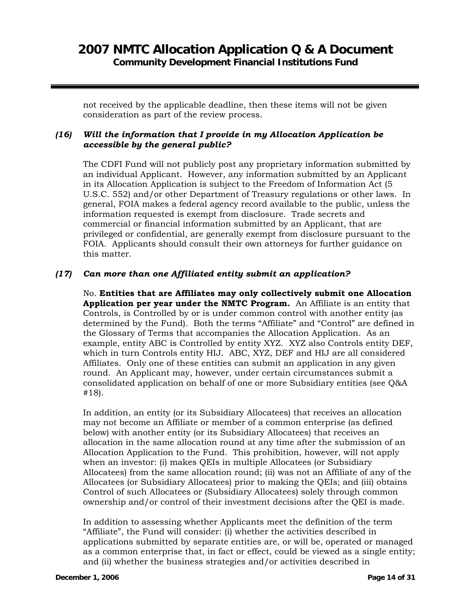not received by the applicable deadline, then these items will not be given consideration as part of the review process.

### *(16) Will the information that I provide in my Allocation Application be accessible by the general public?*

The CDFI Fund will not publicly post any proprietary information submitted by an individual Applicant. However, any information submitted by an Applicant in its Allocation Application is subject to the Freedom of Information Act (5 U.S.C. 552) and/or other Department of Treasury regulations or other laws. In general, FOIA makes a federal agency record available to the public, unless the information requested is exempt from disclosure. Trade secrets and commercial or financial information submitted by an Applicant, that are privileged or confidential, are generally exempt from disclosure pursuant to the FOIA. Applicants should consult their own attorneys for further guidance on this matter.

### *(17) Can more than one Affiliated entity submit an application?*

No. **Entities that are Affiliates may only collectively submit one Allocation Application per year under the NMTC Program.** An Affiliate is an entity that Controls, is Controlled by or is under common control with another entity (as determined by the Fund). Both the terms "Affiliate" and "Control" are defined in the Glossary of Terms that accompanies the Allocation Application. As an example, entity ABC is Controlled by entity XYZ. XYZ also Controls entity DEF, which in turn Controls entity HIJ. ABC, XYZ, DEF and HIJ are all considered Affiliates. Only one of these entities can submit an application in any given round. An Applicant may, however, under certain circumstances submit a consolidated application on behalf of one or more Subsidiary entities (see Q&A #18).

In addition, an entity (or its Subsidiary Allocatees) that receives an allocation may not become an Affiliate or member of a common enterprise (as defined below) with another entity (or its Subsidiary Allocatees) that receives an allocation in the same allocation round at any time after the submission of an Allocation Application to the Fund. This prohibition, however, will not apply when an investor: (i) makes QEIs in multiple Allocatees (or Subsidiary Allocatees) from the same allocation round; (ii) was not an Affiliate of any of the Allocatees (or Subsidiary Allocatees) prior to making the QEIs; and (iii) obtains Control of such Allocatees or (Subsidiary Allocatees) solely through common ownership and/or control of their investment decisions after the QEI is made.

In addition to assessing whether Applicants meet the definition of the term "Affiliate", the Fund will consider: (i) whether the activities described in applications submitted by separate entities are, or will be, operated or managed as a common enterprise that, in fact or effect, could be viewed as a single entity; and (ii) whether the business strategies and/or activities described in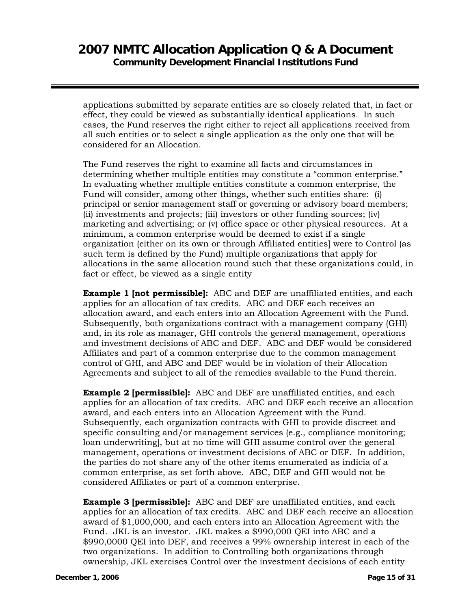applications submitted by separate entities are so closely related that, in fact or effect, they could be viewed as substantially identical applications. In such cases, the Fund reserves the right either to reject all applications received from all such entities or to select a single application as the only one that will be considered for an Allocation.

The Fund reserves the right to examine all facts and circumstances in determining whether multiple entities may constitute a "common enterprise." In evaluating whether multiple entities constitute a common enterprise, the Fund will consider, among other things, whether such entities share: (i) principal or senior management staff or governing or advisory board members; (ii) investments and projects; (iii) investors or other funding sources; (iv) marketing and advertising; or (v) office space or other physical resources. At a minimum, a common enterprise would be deemed to exist if a single organization (either on its own or through Affiliated entities] were to Control (as such term is defined by the Fund) multiple organizations that apply for allocations in the same allocation round such that these organizations could, in fact or effect, be viewed as a single entity

**Example 1 [not permissible]:** ABC and DEF are unaffiliated entities, and each applies for an allocation of tax credits. ABC and DEF each receives an allocation award, and each enters into an Allocation Agreement with the Fund. Subsequently, both organizations contract with a management company (GHI) and, in its role as manager, GHI controls the general management, operations and investment decisions of ABC and DEF. ABC and DEF would be considered Affiliates and part of a common enterprise due to the common management control of GHI, and ABC and DEF would be in violation of their Allocation Agreements and subject to all of the remedies available to the Fund therein.

**Example 2 [permissible]:** ABC and DEF are unaffiliated entities, and each applies for an allocation of tax credits. ABC and DEF each receive an allocation award, and each enters into an Allocation Agreement with the Fund. Subsequently, each organization contracts with GHI to provide discreet and specific consulting and/or management services (e.g., compliance monitoring; loan underwriting], but at no time will GHI assume control over the general management, operations or investment decisions of ABC or DEF. In addition, the parties do not share any of the other items enumerated as indicia of a common enterprise, as set forth above. ABC, DEF and GHI would not be considered Affiliates or part of a common enterprise.

**Example 3 [permissible]:** ABC and DEF are unaffiliated entities, and each applies for an allocation of tax credits. ABC and DEF each receive an allocation award of \$1,000,000, and each enters into an Allocation Agreement with the Fund. JKL is an investor. JKL makes a \$990,000 QEI into ABC and a \$990,0000 QEI into DEF, and receives a 99% ownership interest in each of the two organizations. In addition to Controlling both organizations through ownership, JKL exercises Control over the investment decisions of each entity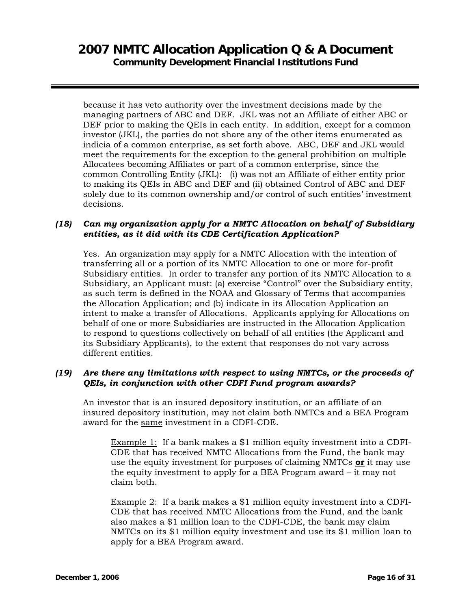because it has veto authority over the investment decisions made by the managing partners of ABC and DEF. JKL was not an Affiliate of either ABC or DEF prior to making the QEIs in each entity. In addition, except for a common investor (JKL), the parties do not share any of the other items enumerated as indicia of a common enterprise, as set forth above. ABC, DEF and JKL would meet the requirements for the exception to the general prohibition on multiple Allocatees becoming Affiliates or part of a common enterprise, since the common Controlling Entity (JKL): (i) was not an Affiliate of either entity prior to making its QEIs in ABC and DEF and (ii) obtained Control of ABC and DEF solely due to its common ownership and/or control of such entities' investment decisions.

### *(18) Can my organization apply for a NMTC Allocation on behalf of Subsidiary entities, as it did with its CDE Certification Application?*

Yes. An organization may apply for a NMTC Allocation with the intention of transferring all or a portion of its NMTC Allocation to one or more for-profit Subsidiary entities. In order to transfer any portion of its NMTC Allocation to a Subsidiary, an Applicant must: (a) exercise "Control" over the Subsidiary entity, as such term is defined in the NOAA and Glossary of Terms that accompanies the Allocation Application; and (b) indicate in its Allocation Application an intent to make a transfer of Allocations. Applicants applying for Allocations on behalf of one or more Subsidiaries are instructed in the Allocation Application to respond to questions collectively on behalf of all entities (the Applicant and its Subsidiary Applicants), to the extent that responses do not vary across different entities.

### *(19) Are there any limitations with respect to using NMTCs, or the proceeds of QEIs, in conjunction with other CDFI Fund program awards?*

An investor that is an insured depository institution, or an affiliate of an insured depository institution, may not claim both NMTCs and a BEA Program award for the same investment in a CDFI-CDE.

Example 1: If a bank makes a \$1 million equity investment into a CDFI-CDE that has received NMTC Allocations from the Fund, the bank may use the equity investment for purposes of claiming NMTCs **or** it may use the equity investment to apply for a BEA Program award – it may not claim both.

Example 2: If a bank makes a \$1 million equity investment into a CDFI-CDE that has received NMTC Allocations from the Fund, and the bank also makes a \$1 million loan to the CDFI-CDE, the bank may claim NMTCs on its \$1 million equity investment and use its \$1 million loan to apply for a BEA Program award.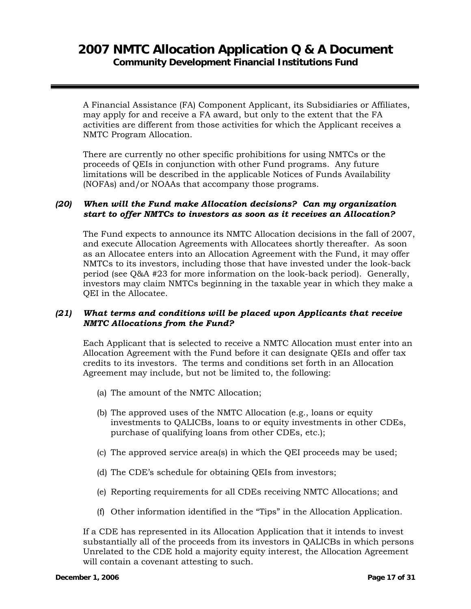A Financial Assistance (FA) Component Applicant, its Subsidiaries or Affiliates, may apply for and receive a FA award, but only to the extent that the FA activities are different from those activities for which the Applicant receives a NMTC Program Allocation.

There are currently no other specific prohibitions for using NMTCs or the proceeds of QEIs in conjunction with other Fund programs. Any future limitations will be described in the applicable Notices of Funds Availability (NOFAs) and/or NOAAs that accompany those programs.

#### *(20) When will the Fund make Allocation decisions? Can my organization start to offer NMTCs to investors as soon as it receives an Allocation?*

The Fund expects to announce its NMTC Allocation decisions in the fall of 2007, and execute Allocation Agreements with Allocatees shortly thereafter. As soon as an Allocatee enters into an Allocation Agreement with the Fund, it may offer NMTCs to its investors, including those that have invested under the look-back period (see Q&A #23 for more information on the look-back period). Generally, investors may claim NMTCs beginning in the taxable year in which they make a QEI in the Allocatee.

### *(21) What terms and conditions will be placed upon Applicants that receive NMTC Allocations from the Fund?*

Each Applicant that is selected to receive a NMTC Allocation must enter into an Allocation Agreement with the Fund before it can designate QEIs and offer tax credits to its investors. The terms and conditions set forth in an Allocation Agreement may include, but not be limited to, the following:

- (a) The amount of the NMTC Allocation;
- (b) The approved uses of the NMTC Allocation (e.g., loans or equity investments to QALICBs, loans to or equity investments in other CDEs, purchase of qualifying loans from other CDEs, etc.);
- (c) The approved service area(s) in which the QEI proceeds may be used;
- (d) The CDE's schedule for obtaining QEIs from investors;
- (e) Reporting requirements for all CDEs receiving NMTC Allocations; and
- (f) Other information identified in the "Tips" in the Allocation Application.

If a CDE has represented in its Allocation Application that it intends to invest substantially all of the proceeds from its investors in QALICBs in which persons Unrelated to the CDE hold a majority equity interest, the Allocation Agreement will contain a covenant attesting to such.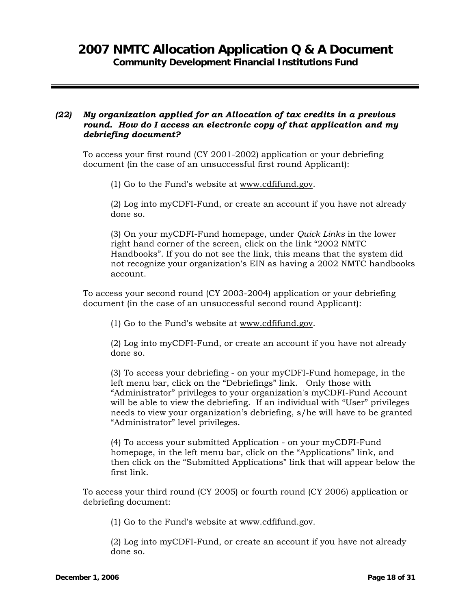### *(22) My organization applied for an Allocation of tax credits in a previous round. How do I access an electronic copy of that application and my debriefing document?*

To access your first round (CY 2001-2002) application or your debriefing document (in the case of an unsuccessful first round Applicant):

(1) Go to the Fund's website at www.cdfifund.gov.

(2) Log into myCDFI-Fund, or create an account if you have not already done so.

(3) On your myCDFI-Fund homepage, under *Quick Links* in the lower right hand corner of the screen, click on the link "2002 NMTC Handbooks". If you do not see the link, this means that the system did not recognize your organization's EIN as having a 2002 NMTC handbooks account.

To access your second round (CY 2003-2004) application or your debriefing document (in the case of an unsuccessful second round Applicant):

(1) Go to the Fund's website at www.cdfifund.gov.

(2) Log into myCDFI-Fund, or create an account if you have not already done so.

(3) To access your debriefing - on your myCDFI-Fund homepage, in the left menu bar, click on the "Debriefings" link. Only those with "Administrator" privileges to your organization's myCDFI-Fund Account will be able to view the debriefing. If an individual with "User" privileges needs to view your organization's debriefing, s/he will have to be granted "Administrator" level privileges.

(4) To access your submitted Application - on your myCDFI-Fund homepage, in the left menu bar, click on the "Applications" link, and then click on the "Submitted Applications" link that will appear below the first link.

To access your third round (CY 2005) or fourth round (CY 2006) application or debriefing document:

(1) Go to the Fund's website at www.cdfifund.gov.

(2) Log into myCDFI-Fund, or create an account if you have not already done so.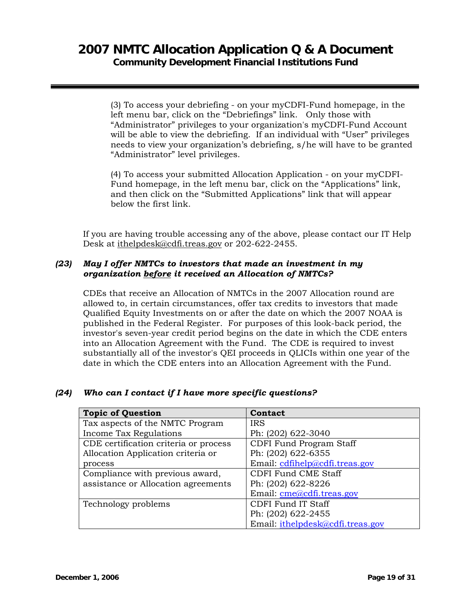(3) To access your debriefing - on your myCDFI-Fund homepage, in the left menu bar, click on the "Debriefings" link. Only those with "Administrator" privileges to your organization's myCDFI-Fund Account will be able to view the debriefing. If an individual with "User" privileges needs to view your organization's debriefing, s/he will have to be granted "Administrator" level privileges.

(4) To access your submitted Allocation Application - on your myCDFI-Fund homepage, in the left menu bar, click on the "Applications" link, and then click on the "Submitted Applications" link that will appear below the first link.

If you are having trouble accessing any of the above, please contact our IT Help Desk at ithelpdesk@cdfi.treas.gov or 202-622-2455.

### *(23) May I offer NMTCs to investors that made an investment in my organization before it received an Allocation of NMTCs?*

CDEs that receive an Allocation of NMTCs in the 2007 Allocation round are allowed to, in certain circumstances, offer tax credits to investors that made Qualified Equity Investments on or after the date on which the 2007 NOAA is published in the Federal Register. For purposes of this look-back period, the investor's seven-year credit period begins on the date in which the CDE enters into an Allocation Agreement with the Fund. The CDE is required to invest substantially all of the investor's QEI proceeds in QLICIs within one year of the date in which the CDE enters into an Allocation Agreement with the Fund.

### *(24) Who can I contact if I have more specific questions?*

| <b>Topic of Question</b>              | Contact                          |
|---------------------------------------|----------------------------------|
| Tax aspects of the NMTC Program       | <b>IRS</b>                       |
| Income Tax Regulations                | Ph: (202) 622-3040               |
| CDE certification criteria or process | <b>CDFI Fund Program Staff</b>   |
| Allocation Application criteria or    | Ph: (202) 622-6355               |
| process                               | Email: $cdfile@cdfi.treas.gov$   |
| Compliance with previous award,       | <b>CDFI Fund CME Staff</b>       |
| assistance or Allocation agreements   | Ph: (202) 622-8226               |
|                                       | Email: cme@cdfi.treas.gov        |
| Technology problems                   | CDFI Fund IT Staff               |
|                                       | Ph: (202) 622-2455               |
|                                       | Email: ithelpdesk@cdfi.treas.gov |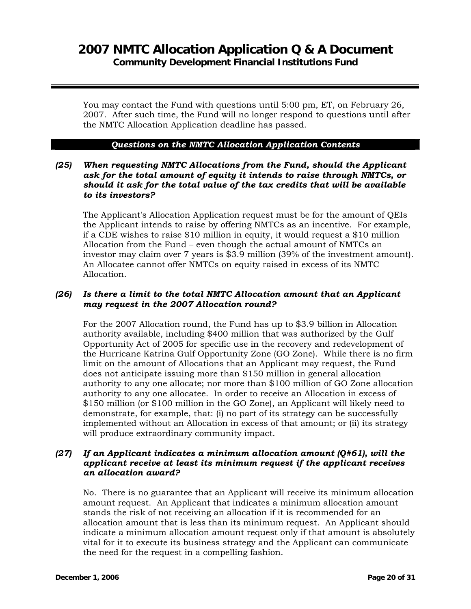You may contact the Fund with questions until 5:00 pm, ET, on February 26, 2007. After such time, the Fund will no longer respond to questions until after the NMTC Allocation Application deadline has passed.

#### *Questions on the NMTC Allocation Application Contents*

#### *(25) When requesting NMTC Allocations from the Fund, should the Applicant ask for the total amount of equity it intends to raise through NMTCs, or should it ask for the total value of the tax credits that will be available to its investors?*

The Applicant's Allocation Application request must be for the amount of QEIs the Applicant intends to raise by offering NMTCs as an incentive. For example, if a CDE wishes to raise \$10 million in equity, it would request a \$10 million Allocation from the Fund – even though the actual amount of NMTCs an investor may claim over 7 years is \$3.9 million (39% of the investment amount). An Allocatee cannot offer NMTCs on equity raised in excess of its NMTC Allocation.

#### *(26) Is there a limit to the total NMTC Allocation amount that an Applicant may request in the 2007 Allocation round?*

For the 2007 Allocation round, the Fund has up to \$3.9 billion in Allocation authority available, including \$400 million that was authorized by the Gulf Opportunity Act of 2005 for specific use in the recovery and redevelopment of the Hurricane Katrina Gulf Opportunity Zone (GO Zone). While there is no firm limit on the amount of Allocations that an Applicant may request, the Fund does not anticipate issuing more than \$150 million in general allocation authority to any one allocate; nor more than \$100 million of GO Zone allocation authority to any one allocatee. In order to receive an Allocation in excess of \$150 million (or \$100 million in the GO Zone), an Applicant will likely need to demonstrate, for example, that: (i) no part of its strategy can be successfully implemented without an Allocation in excess of that amount; or (ii) its strategy will produce extraordinary community impact.

#### *(27) If an Applicant indicates a minimum allocation amount (Q#61), will the applicant receive at least its minimum request if the applicant receives an allocation award?*

No. There is no guarantee that an Applicant will receive its minimum allocation amount request. An Applicant that indicates a minimum allocation amount stands the risk of not receiving an allocation if it is recommended for an allocation amount that is less than its minimum request. An Applicant should indicate a minimum allocation amount request only if that amount is absolutely vital for it to execute its business strategy and the Applicant can communicate the need for the request in a compelling fashion.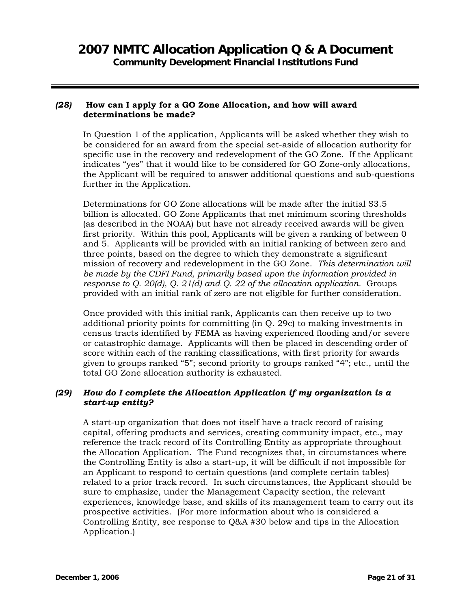#### *(28)* **How can I apply for a GO Zone Allocation, and how will award determinations be made?**

In Question 1 of the application, Applicants will be asked whether they wish to be considered for an award from the special set-aside of allocation authority for specific use in the recovery and redevelopment of the GO Zone. If the Applicant indicates "yes" that it would like to be considered for GO Zone-only allocations, the Applicant will be required to answer additional questions and sub-questions further in the Application.

Determinations for GO Zone allocations will be made after the initial \$3.5 billion is allocated. GO Zone Applicants that met minimum scoring thresholds (as described in the NOAA) but have not already received awards will be given first priority. Within this pool, Applicants will be given a ranking of between 0 and 5. Applicants will be provided with an initial ranking of between zero and three points, based on the degree to which they demonstrate a significant mission of recovery and redevelopment in the GO Zone. *This determination will be made by the CDFI Fund, primarily based upon the information provided in response to Q. 20(d), Q. 21(d) and Q. 22 of the allocation application.* Groups provided with an initial rank of zero are not eligible for further consideration.

Once provided with this initial rank, Applicants can then receive up to two additional priority points for committing (in Q. 29c) to making investments in census tracts identified by FEMA as having experienced flooding and/or severe or catastrophic damage. Applicants will then be placed in descending order of score within each of the ranking classifications, with first priority for awards given to groups ranked "5"; second priority to groups ranked "4"; etc., until the total GO Zone allocation authority is exhausted.

#### *(29) How do I complete the Allocation Application if my organization is a start-up entity?*

A start-up organization that does not itself have a track record of raising capital, offering products and services, creating community impact, etc., may reference the track record of its Controlling Entity as appropriate throughout the Allocation Application. The Fund recognizes that, in circumstances where the Controlling Entity is also a start-up, it will be difficult if not impossible for an Applicant to respond to certain questions (and complete certain tables) related to a prior track record. In such circumstances, the Applicant should be sure to emphasize, under the Management Capacity section, the relevant experiences, knowledge base, and skills of its management team to carry out its prospective activities. (For more information about who is considered a Controlling Entity, see response to Q&A #30 below and tips in the Allocation Application.)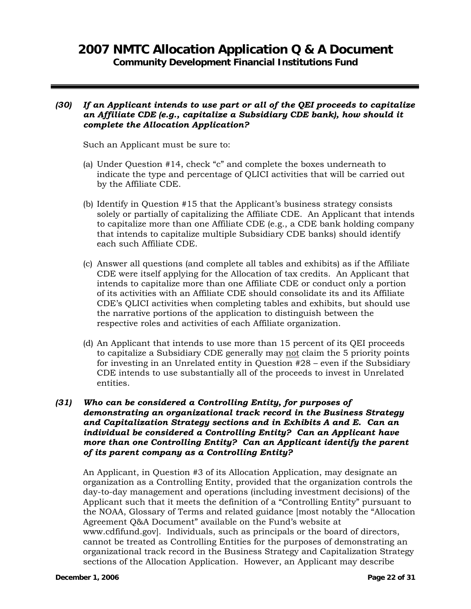#### *(30) If an Applicant intends to use part or all of the QEI proceeds to capitalize an Affiliate CDE (e.g., capitalize a Subsidiary CDE bank), how should it complete the Allocation Application?*

Such an Applicant must be sure to:

- (a) Under Question #14, check "c" and complete the boxes underneath to indicate the type and percentage of QLICI activities that will be carried out by the Affiliate CDE.
- (b) Identify in Question #15 that the Applicant's business strategy consists solely or partially of capitalizing the Affiliate CDE. An Applicant that intends to capitalize more than one Affiliate CDE (e.g., a CDE bank holding company that intends to capitalize multiple Subsidiary CDE banks) should identify each such Affiliate CDE.
- (c) Answer all questions (and complete all tables and exhibits) as if the Affiliate CDE were itself applying for the Allocation of tax credits. An Applicant that intends to capitalize more than one Affiliate CDE or conduct only a portion of its activities with an Affiliate CDE should consolidate its and its Affiliate CDE's QLICI activities when completing tables and exhibits, but should use the narrative portions of the application to distinguish between the respective roles and activities of each Affiliate organization.
- (d) An Applicant that intends to use more than 15 percent of its QEI proceeds to capitalize a Subsidiary CDE generally may not claim the 5 priority points for investing in an Unrelated entity in Question #28 – even if the Subsidiary CDE intends to use substantially all of the proceeds to invest in Unrelated entities.

### *(31) Who can be considered a Controlling Entity, for purposes of demonstrating an organizational track record in the Business Strategy and Capitalization Strategy sections and in Exhibits A and E. Can an individual be considered a Controlling Entity? Can an Applicant have more than one Controlling Entity? Can an Applicant identify the parent of its parent company as a Controlling Entity?*

An Applicant, in Question #3 of its Allocation Application, may designate an organization as a Controlling Entity, provided that the organization controls the day-to-day management and operations (including investment decisions) of the Applicant such that it meets the definition of a "Controlling Entity" pursuant to the NOAA, Glossary of Terms and related guidance [most notably the "Allocation Agreement Q&A Document" available on the Fund's website at www.cdfifund.gov]. Individuals, such as principals or the board of directors, cannot be treated as Controlling Entities for the purposes of demonstrating an organizational track record in the Business Strategy and Capitalization Strategy sections of the Allocation Application. However, an Applicant may describe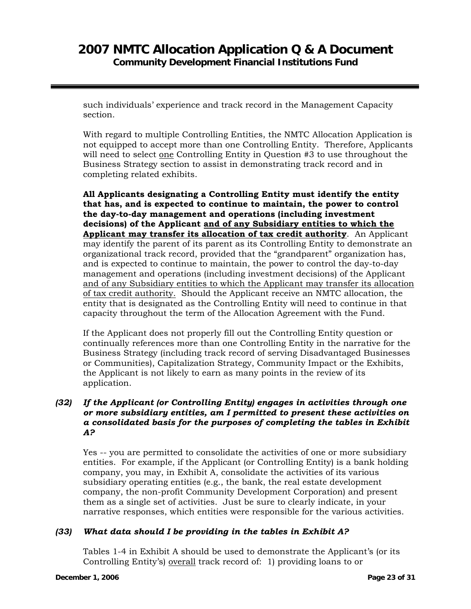such individuals' experience and track record in the Management Capacity section.

With regard to multiple Controlling Entities, the NMTC Allocation Application is not equipped to accept more than one Controlling Entity. Therefore, Applicants will need to select one Controlling Entity in Question #3 to use throughout the Business Strategy section to assist in demonstrating track record and in completing related exhibits.

**All Applicants designating a Controlling Entity must identify the entity that has, and is expected to continue to maintain, the power to control the day-to-day management and operations (including investment decisions) of the Applicant and of any Subsidiary entities to which the Applicant may transfer its allocation of tax credit authority**. An Applicant may identify the parent of its parent as its Controlling Entity to demonstrate an organizational track record, provided that the "grandparent" organization has, and is expected to continue to maintain, the power to control the day-to-day management and operations (including investment decisions) of the Applicant and of any Subsidiary entities to which the Applicant may transfer its allocation of tax credit authority. Should the Applicant receive an NMTC allocation, the entity that is designated as the Controlling Entity will need to continue in that capacity throughout the term of the Allocation Agreement with the Fund.

If the Applicant does not properly fill out the Controlling Entity question or continually references more than one Controlling Entity in the narrative for the Business Strategy (including track record of serving Disadvantaged Businesses or Communities), Capitalization Strategy, Community Impact or the Exhibits, the Applicant is not likely to earn as many points in the review of its application.

### *(32) If the Applicant (or Controlling Entity) engages in activities through one or more subsidiary entities, am I permitted to present these activities on a consolidated basis for the purposes of completing the tables in Exhibit A?*

Yes -- you are permitted to consolidate the activities of one or more subsidiary entities. For example, if the Applicant (or Controlling Entity) is a bank holding company, you may, in Exhibit A, consolidate the activities of its various subsidiary operating entities (e.g., the bank, the real estate development company, the non-profit Community Development Corporation) and present them as a single set of activities. Just be sure to clearly indicate, in your narrative responses, which entities were responsible for the various activities.

### *(33) What data should I be providing in the tables in Exhibit A?*

Tables 1-4 in Exhibit A should be used to demonstrate the Applicant's (or its Controlling Entity's) overall track record of: 1) providing loans to or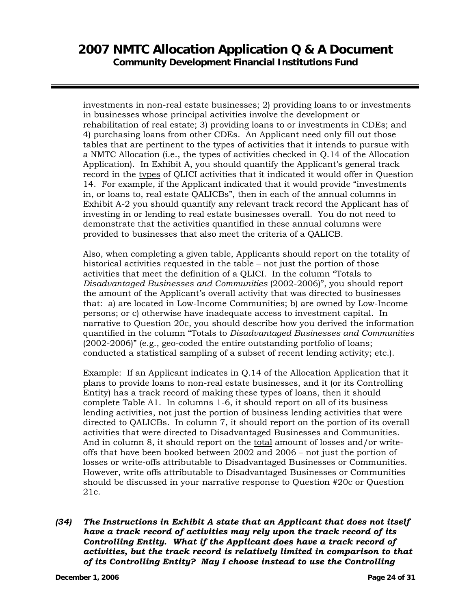investments in non-real estate businesses; 2) providing loans to or investments in businesses whose principal activities involve the development or rehabilitation of real estate; 3) providing loans to or investments in CDEs; and 4) purchasing loans from other CDEs. An Applicant need only fill out those tables that are pertinent to the types of activities that it intends to pursue with a NMTC Allocation (i.e., the types of activities checked in Q.14 of the Allocation Application). In Exhibit A, you should quantify the Applicant's general track record in the types of QLICI activities that it indicated it would offer in Question 14. For example, if the Applicant indicated that it would provide "investments in, or loans to, real estate QALICBs", then in each of the annual columns in Exhibit A-2 you should quantify any relevant track record the Applicant has of investing in or lending to real estate businesses overall. You do not need to demonstrate that the activities quantified in these annual columns were provided to businesses that also meet the criteria of a QALICB.

Also, when completing a given table, Applicants should report on the totality of historical activities requested in the table – not just the portion of those activities that meet the definition of a QLICI. In the column "Totals to *Disadvantaged Businesses and Communities* (2002-2006)", you should report the amount of the Applicant's overall activity that was directed to businesses that: a) are located in Low-Income Communities; b) are owned by Low-Income persons; or c) otherwise have inadequate access to investment capital. In narrative to Question 20c, you should describe how you derived the information quantified in the column "Totals to *Disadvantaged Businesses and Communities* (2002-2006)" (e.g., geo-coded the entire outstanding portfolio of loans; conducted a statistical sampling of a subset of recent lending activity; etc.).

Example: If an Applicant indicates in Q.14 of the Allocation Application that it plans to provide loans to non-real estate businesses, and it (or its Controlling Entity) has a track record of making these types of loans, then it should complete Table A1. In columns 1-6, it should report on all of its business lending activities, not just the portion of business lending activities that were directed to QALICBs. In column 7, it should report on the portion of its overall activities that were directed to Disadvantaged Businesses and Communities. And in column 8, it should report on the total amount of losses and/or writeoffs that have been booked between 2002 and 2006 – not just the portion of losses or write-offs attributable to Disadvantaged Businesses or Communities. However, write offs attributable to Disadvantaged Businesses or Communities should be discussed in your narrative response to Question #20c or Question 21c.

*(34) The Instructions in Exhibit A state that an Applicant that does not itself have a track record of activities may rely upon the track record of its Controlling Entity. What if the Applicant does have a track record of activities, but the track record is relatively limited in comparison to that of its Controlling Entity? May I choose instead to use the Controlling*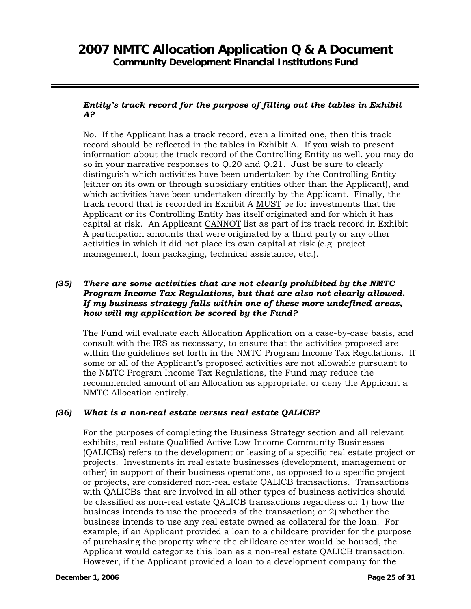### *Entity's track record for the purpose of filling out the tables in Exhibit A?*

No. If the Applicant has a track record, even a limited one, then this track record should be reflected in the tables in Exhibit A. If you wish to present information about the track record of the Controlling Entity as well, you may do so in your narrative responses to Q.20 and Q.21. Just be sure to clearly distinguish which activities have been undertaken by the Controlling Entity (either on its own or through subsidiary entities other than the Applicant), and which activities have been undertaken directly by the Applicant. Finally, the track record that is recorded in Exhibit A MUST be for investments that the Applicant or its Controlling Entity has itself originated and for which it has capital at risk. An Applicant CANNOT list as part of its track record in Exhibit A participation amounts that were originated by a third party or any other activities in which it did not place its own capital at risk (e.g. project management, loan packaging, technical assistance, etc.).

### *(35) There are some activities that are not clearly prohibited by the NMTC Program Income Tax Regulations, but that are also not clearly allowed. If my business strategy falls within one of these more undefined areas, how will my application be scored by the Fund?*

The Fund will evaluate each Allocation Application on a case-by-case basis, and consult with the IRS as necessary, to ensure that the activities proposed are within the guidelines set forth in the NMTC Program Income Tax Regulations. If some or all of the Applicant's proposed activities are not allowable pursuant to the NMTC Program Income Tax Regulations, the Fund may reduce the recommended amount of an Allocation as appropriate, or deny the Applicant a NMTC Allocation entirely.

### *(36) What is a non-real estate versus real estate QALICB?*

For the purposes of completing the Business Strategy section and all relevant exhibits, real estate Qualified Active Low-Income Community Businesses (QALICBs) refers to the development or leasing of a specific real estate project or projects. Investments in real estate businesses (development, management or other) in support of their business operations, as opposed to a specific project or projects, are considered non-real estate QALICB transactions. Transactions with QALICBs that are involved in all other types of business activities should be classified as non-real estate QALICB transactions regardless of: 1) how the business intends to use the proceeds of the transaction; or 2) whether the business intends to use any real estate owned as collateral for the loan. For example, if an Applicant provided a loan to a childcare provider for the purpose of purchasing the property where the childcare center would be housed, the Applicant would categorize this loan as a non-real estate QALICB transaction. However, if the Applicant provided a loan to a development company for the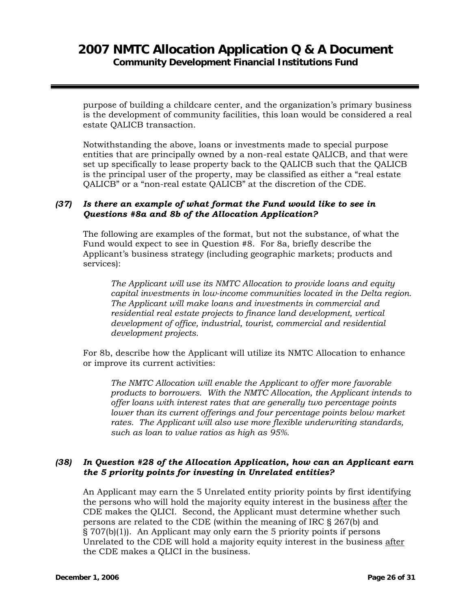purpose of building a childcare center, and the organization's primary business is the development of community facilities, this loan would be considered a real estate QALICB transaction.

Notwithstanding the above, loans or investments made to special purpose entities that are principally owned by a non-real estate QALICB, and that were set up specifically to lease property back to the QALICB such that the QALICB is the principal user of the property, may be classified as either a "real estate QALICB" or a "non-real estate QALICB" at the discretion of the CDE.

### *(37) Is there an example of what format the Fund would like to see in Questions #8a and 8b of the Allocation Application?*

The following are examples of the format, but not the substance, of what the Fund would expect to see in Question #8. For 8a, briefly describe the Applicant's business strategy (including geographic markets; products and services):

*The Applicant will use its NMTC Allocation to provide loans and equity capital investments in low-income communities located in the Delta region. The Applicant will make loans and investments in commercial and residential real estate projects to finance land development, vertical development of office, industrial, tourist, commercial and residential development projects.* 

For 8b, describe how the Applicant will utilize its NMTC Allocation to enhance or improve its current activities:

*The NMTC Allocation will enable the Applicant to offer more favorable products to borrowers. With the NMTC Allocation, the Applicant intends to offer loans with interest rates that are generally two percentage points lower than its current offerings and four percentage points below market rates. The Applicant will also use more flexible underwriting standards, such as loan to value ratios as high as 95%.* 

### *(38) In Question #28 of the Allocation Application, how can an Applicant earn the 5 priority points for investing in Unrelated entities?*

An Applicant may earn the 5 Unrelated entity priority points by first identifying the persons who will hold the majority equity interest in the business after the CDE makes the QLICI. Second, the Applicant must determine whether such persons are related to the CDE (within the meaning of IRC § 267(b) and § 707(b)(1)). An Applicant may only earn the 5 priority points if persons Unrelated to the CDE will hold a majority equity interest in the business after the CDE makes a QLICI in the business.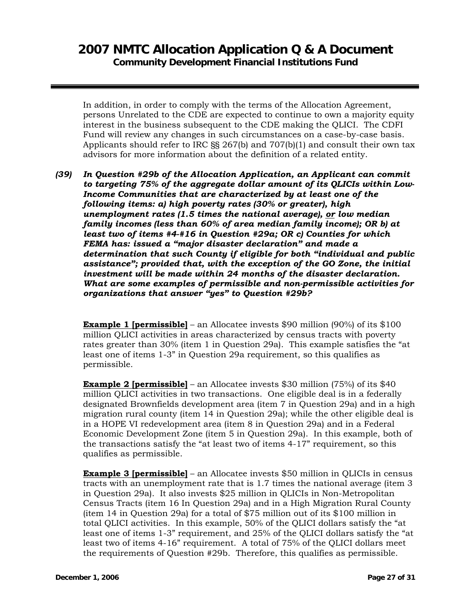In addition, in order to comply with the terms of the Allocation Agreement, persons Unrelated to the CDE are expected to continue to own a majority equity interest in the business subsequent to the CDE making the QLICI. The CDFI Fund will review any changes in such circumstances on a case-by-case basis. Applicants should refer to IRC  $\S$ § 267(b) and 707(b)(1) and consult their own tax advisors for more information about the definition of a related entity.

*(39) In Question #29b of the Allocation Application, an Applicant can commit to targeting 75% of the aggregate dollar amount of its QLICIs within Low-Income Communities that are characterized by at least one of the following items: a) high poverty rates (30% or greater), high unemployment rates (1.5 times the national average), or low median family incomes (less than 60% of area median family income); OR b) at least two of items #4-#16 in Question #29a; OR c) Counties for which FEMA has: issued a "major disaster declaration" and made a determination that such County if eligible for both "individual and public assistance"; provided that, with the exception of the GO Zone, the initial investment will be made within 24 months of the disaster declaration. What are some examples of permissible and non-permissible activities for organizations that answer "yes" to Question #29b?*

**Example 1 [permissible]** – an Allocatee invests \$90 million (90%) of its \$100 million QLICI activities in areas characterized by census tracts with poverty rates greater than 30% (item 1 in Question 29a). This example satisfies the "at least one of items 1-3" in Question 29a requirement, so this qualifies as permissible.

**Example 2 [permissible]** – an Allocatee invests \$30 million (75%) of its \$40 million QLICI activities in two transactions. One eligible deal is in a federally designated Brownfields development area (item 7 in Question 29a) and in a high migration rural county (item 14 in Question 29a); while the other eligible deal is in a HOPE VI redevelopment area (item 8 in Question 29a) and in a Federal Economic Development Zone (item 5 in Question 29a). In this example, both of the transactions satisfy the "at least two of items 4-17" requirement, so this qualifies as permissible.

**Example 3 [permissible]** – an Allocatee invests \$50 million in QLICIs in census tracts with an unemployment rate that is 1.7 times the national average (item 3 in Question 29a). It also invests \$25 million in QLICIs in Non-Metropolitan Census Tracts (item 16 In Question 29a) and in a High Migration Rural County (item 14 in Question 29a) for a total of \$75 million out of its \$100 million in total QLICI activities. In this example, 50% of the QLICI dollars satisfy the "at least one of items 1-3" requirement, and 25% of the QLICI dollars satisfy the "at least two of items 4-16" requirement. A total of 75% of the QLICI dollars meet the requirements of Question #29b. Therefore, this qualifies as permissible.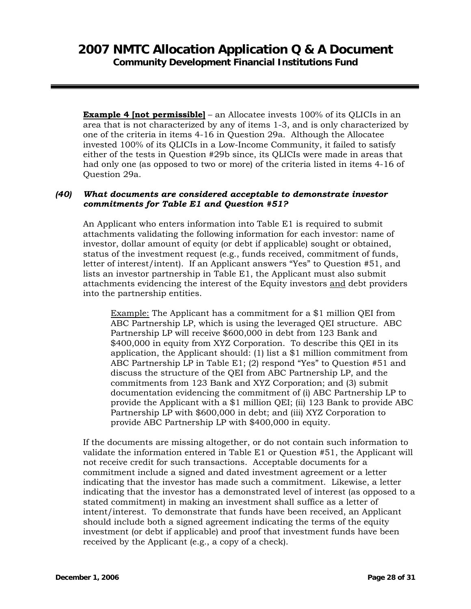**Example 4 [not permissible]** – an Allocatee invests 100% of its OLICIs in an area that is not characterized by any of items 1-3, and is only characterized by one of the criteria in items 4-16 in Question 29a. Although the Allocatee invested 100% of its QLICIs in a Low-Income Community, it failed to satisfy either of the tests in Question #29b since, its QLICIs were made in areas that had only one (as opposed to two or more) of the criteria listed in items 4-16 of Question 29a.

### *(40) What documents are considered acceptable to demonstrate investor commitments for Table E1 and Question #51?*

An Applicant who enters information into Table E1 is required to submit attachments validating the following information for each investor: name of investor, dollar amount of equity (or debt if applicable) sought or obtained, status of the investment request (e.g., funds received, commitment of funds, letter of interest/intent). If an Applicant answers "Yes" to Question #51, and lists an investor partnership in Table E1, the Applicant must also submit attachments evidencing the interest of the Equity investors and debt providers into the partnership entities.

Example: The Applicant has a commitment for a \$1 million QEI from ABC Partnership LP, which is using the leveraged QEI structure. ABC Partnership LP will receive \$600,000 in debt from 123 Bank and \$400,000 in equity from XYZ Corporation. To describe this QEI in its application, the Applicant should: (1) list a \$1 million commitment from ABC Partnership LP in Table E1; (2) respond "Yes" to Question #51 and discuss the structure of the QEI from ABC Partnership LP, and the commitments from 123 Bank and XYZ Corporation; and (3) submit documentation evidencing the commitment of (i) ABC Partnership LP to provide the Applicant with a \$1 million QEI; (ii) 123 Bank to provide ABC Partnership LP with \$600,000 in debt; and (iii) XYZ Corporation to provide ABC Partnership LP with \$400,000 in equity.

If the documents are missing altogether, or do not contain such information to validate the information entered in Table E1 or Question #51, the Applicant will not receive credit for such transactions. Acceptable documents for a commitment include a signed and dated investment agreement or a letter indicating that the investor has made such a commitment. Likewise, a letter indicating that the investor has a demonstrated level of interest (as opposed to a stated commitment) in making an investment shall suffice as a letter of intent/interest. To demonstrate that funds have been received, an Applicant should include both a signed agreement indicating the terms of the equity investment (or debt if applicable) and proof that investment funds have been received by the Applicant (e.g., a copy of a check).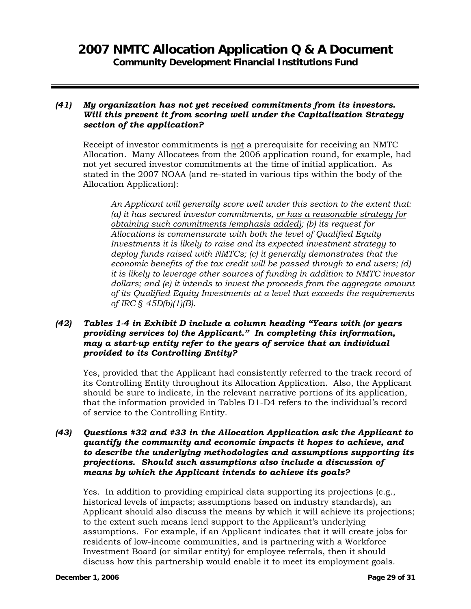#### *(41) My organization has not yet received commitments from its investors. Will this prevent it from scoring well under the Capitalization Strategy section of the application?*

Receipt of investor commitments is not a prerequisite for receiving an NMTC Allocation. Many Allocatees from the 2006 application round, for example, had not yet secured investor commitments at the time of initial application. As stated in the 2007 NOAA (and re-stated in various tips within the body of the Allocation Application):

*An Applicant will generally score well under this section to the extent that: (a) it has secured investor commitments, or has a reasonable strategy for obtaining such commitments (emphasis added); (b) its request for Allocations is commensurate with both the level of Qualified Equity Investments it is likely to raise and its expected investment strategy to deploy funds raised with NMTCs; (c) it generally demonstrates that the economic benefits of the tax credit will be passed through to end users; (d) it is likely to leverage other sources of funding in addition to NMTC investor dollars; and (e) it intends to invest the proceeds from the aggregate amount of its Qualified Equity Investments at a level that exceeds the requirements of IRC § 45D(b)(1)(B).* 

### *(42) Tables 1-4 in Exhibit D include a column heading "Years with (or years providing services to) the Applicant." In completing this information, may a start-up entity refer to the years of service that an individual provided to its Controlling Entity?*

Yes, provided that the Applicant had consistently referred to the track record of its Controlling Entity throughout its Allocation Application. Also, the Applicant should be sure to indicate, in the relevant narrative portions of its application, that the information provided in Tables D1-D4 refers to the individual's record of service to the Controlling Entity.

### *(43) Questions #32 and #33 in the Allocation Application ask the Applicant to quantify the community and economic impacts it hopes to achieve, and to describe the underlying methodologies and assumptions supporting its projections. Should such assumptions also include a discussion of means by which the Applicant intends to achieve its goals?*

Yes. In addition to providing empirical data supporting its projections (e.g., historical levels of impacts; assumptions based on industry standards), an Applicant should also discuss the means by which it will achieve its projections; to the extent such means lend support to the Applicant's underlying assumptions. For example, if an Applicant indicates that it will create jobs for residents of low-income communities, and is partnering with a Workforce Investment Board (or similar entity) for employee referrals, then it should discuss how this partnership would enable it to meet its employment goals.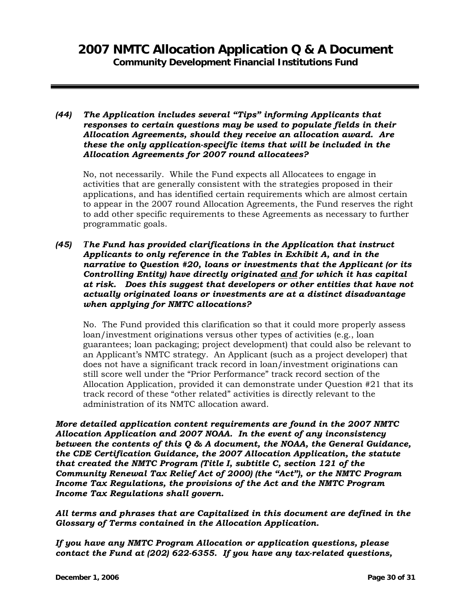*(44) The Application includes several "Tips" informing Applicants that responses to certain questions may be used to populate fields in their Allocation Agreements, should they receive an allocation award. Are these the only application-specific items that will be included in the Allocation Agreements for 2007 round allocatees?* 

No, not necessarily. While the Fund expects all Allocatees to engage in activities that are generally consistent with the strategies proposed in their applications, and has identified certain requirements which are almost certain to appear in the 2007 round Allocation Agreements, the Fund reserves the right to add other specific requirements to these Agreements as necessary to further programmatic goals.

*(45) The Fund has provided clarifications in the Application that instruct Applicants to only reference in the Tables in Exhibit A, and in the narrative to Question #20, loans or investments that the Applicant (or its Controlling Entity) have directly originated and for which it has capital at risk. Does this suggest that developers or other entities that have not actually originated loans or investments are at a distinct disadvantage when applying for NMTC allocations?* 

No. The Fund provided this clarification so that it could more properly assess loan/investment originations versus other types of activities (e.g., loan guarantees; loan packaging; project development) that could also be relevant to an Applicant's NMTC strategy. An Applicant (such as a project developer) that does not have a significant track record in loan/investment originations can still score well under the "Prior Performance" track record section of the Allocation Application, provided it can demonstrate under Question #21 that its track record of these "other related" activities is directly relevant to the administration of its NMTC allocation award.

*More detailed application content requirements are found in the 2007 NMTC Allocation Application and 2007 NOAA. In the event of any inconsistency between the contents of this Q & A document, the NOAA, the General Guidance, the CDE Certification Guidance, the 2007 Allocation Application, the statute that created the NMTC Program (Title I, subtitle C, section 121 of the Community Renewal Tax Relief Act of 2000) (the "Act"), or the NMTC Program Income Tax Regulations, the provisions of the Act and the NMTC Program Income Tax Regulations shall govern.* 

*All terms and phrases that are Capitalized in this document are defined in the Glossary of Terms contained in the Allocation Application.* 

*If you have any NMTC Program Allocation or application questions, please contact the Fund at (202) 622-6355. If you have any tax-related questions,*